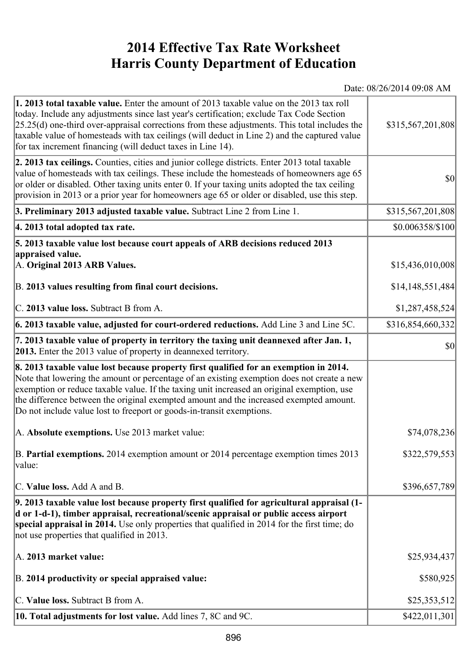## **2014 Effective Tax Rate Worksheet Harris County Department of Education**

Date: 08/26/2014 09:08 AM

| 1. 2013 total taxable value. Enter the amount of 2013 taxable value on the 2013 tax roll<br>today. Include any adjustments since last year's certification; exclude Tax Code Section<br>$[25.25(d)$ one-third over-appraisal corrections from these adjustments. This total includes the<br>taxable value of homesteads with tax ceilings (will deduct in Line 2) and the captured value<br>for tax increment financing (will deduct taxes in Line 14). | \$315,567,201,808 |
|---------------------------------------------------------------------------------------------------------------------------------------------------------------------------------------------------------------------------------------------------------------------------------------------------------------------------------------------------------------------------------------------------------------------------------------------------------|-------------------|
| 2. 2013 tax ceilings. Counties, cities and junior college districts. Enter 2013 total taxable<br>value of homesteads with tax ceilings. These include the homesteads of homeowners age 65<br>or older or disabled. Other taxing units enter 0. If your taxing units adopted the tax ceiling<br>provision in 2013 or a prior year for homeowners age 65 or older or disabled, use this step.                                                             | \$0               |
| 3. Preliminary 2013 adjusted taxable value. Subtract Line 2 from Line 1.                                                                                                                                                                                                                                                                                                                                                                                | \$315,567,201,808 |
| 4. 2013 total adopted tax rate.                                                                                                                                                                                                                                                                                                                                                                                                                         | \$0.006358/\$100  |
| 5. 2013 taxable value lost because court appeals of ARB decisions reduced 2013<br>appraised value.<br>A. Original 2013 ARB Values.                                                                                                                                                                                                                                                                                                                      | \$15,436,010,008  |
| B. 2013 values resulting from final court decisions.                                                                                                                                                                                                                                                                                                                                                                                                    | \$14,148,551,484  |
| C. 2013 value loss. Subtract B from A.                                                                                                                                                                                                                                                                                                                                                                                                                  | \$1,287,458,524   |
| $\vert$ 6. 2013 taxable value, adjusted for court-ordered reductions. Add Line 3 and Line 5C.                                                                                                                                                                                                                                                                                                                                                           | \$316,854,660,332 |
| 7. 2013 taxable value of property in territory the taxing unit deannexed after Jan. 1,<br><b>2013.</b> Enter the 2013 value of property in deannexed territory.                                                                                                                                                                                                                                                                                         | 30                |
| 8. 2013 taxable value lost because property first qualified for an exemption in 2014.<br>Note that lowering the amount or percentage of an existing exemption does not create a new<br>exemption or reduce taxable value. If the taxing unit increased an original exemption, use<br>the difference between the original exempted amount and the increased exempted amount.<br>Do not include value lost to freeport or goods-in-transit exemptions.    |                   |
| A. Absolute exemptions. Use 2013 market value:                                                                                                                                                                                                                                                                                                                                                                                                          | \$74,078,236      |
| B. Partial exemptions. 2014 exemption amount or 2014 percentage exemption times 2013<br>$\vert$ value:                                                                                                                                                                                                                                                                                                                                                  | \$322,579,553     |
| C. Value loss. Add A and B.                                                                                                                                                                                                                                                                                                                                                                                                                             | \$396,657,789     |
| 9. 2013 taxable value lost because property first qualified for agricultural appraisal (1-<br>d or 1-d-1), timber appraisal, recreational/scenic appraisal or public access airport<br>special appraisal in 2014. Use only properties that qualified in 2014 for the first time; do<br>not use properties that qualified in 2013.                                                                                                                       |                   |
| A. 2013 market value:                                                                                                                                                                                                                                                                                                                                                                                                                                   | \$25,934,437      |
| B. 2014 productivity or special appraised value:                                                                                                                                                                                                                                                                                                                                                                                                        | \$580,925         |
| C. Value loss. Subtract B from A.                                                                                                                                                                                                                                                                                                                                                                                                                       | \$25,353,512      |
| 10. Total adjustments for lost value. Add lines 7, 8C and 9C.                                                                                                                                                                                                                                                                                                                                                                                           | \$422,011,301     |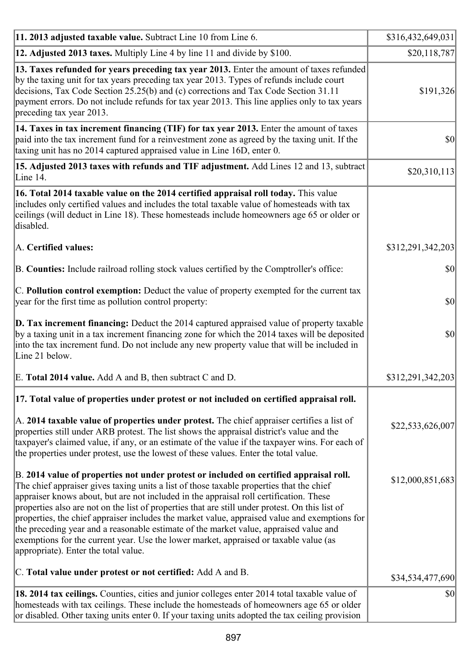| 11. 2013 adjusted taxable value. Subtract Line 10 from Line 6.                                                                                                                                                                                                                                                                                                                                                                                                                                                                                                                                                                                                                                             | \$316,432,649,031 |
|------------------------------------------------------------------------------------------------------------------------------------------------------------------------------------------------------------------------------------------------------------------------------------------------------------------------------------------------------------------------------------------------------------------------------------------------------------------------------------------------------------------------------------------------------------------------------------------------------------------------------------------------------------------------------------------------------------|-------------------|
| 12. Adjusted 2013 taxes. Multiply Line 4 by line 11 and divide by \$100.                                                                                                                                                                                                                                                                                                                                                                                                                                                                                                                                                                                                                                   | \$20,118,787      |
| 13. Taxes refunded for years preceding tax year 2013. Enter the amount of taxes refunded<br>by the taxing unit for tax years preceding tax year 2013. Types of refunds include court<br>decisions, Tax Code Section 25.25(b) and (c) corrections and Tax Code Section 31.11<br>payment errors. Do not include refunds for tax year 2013. This line applies only to tax years<br>preceding tax year 2013.                                                                                                                                                                                                                                                                                                   | \$191,326         |
| 14. Taxes in tax increment financing (TIF) for tax year 2013. Enter the amount of taxes<br>paid into the tax increment fund for a reinvestment zone as agreed by the taxing unit. If the<br>taxing unit has no 2014 captured appraised value in Line 16D, enter 0.                                                                                                                                                                                                                                                                                                                                                                                                                                         | $ 10\rangle$      |
| 15. Adjusted 2013 taxes with refunds and TIF adjustment. Add Lines 12 and 13, subtract<br>Line 14.                                                                                                                                                                                                                                                                                                                                                                                                                                                                                                                                                                                                         | \$20,310,113      |
| 16. Total 2014 taxable value on the 2014 certified appraisal roll today. This value<br>includes only certified values and includes the total taxable value of homesteads with tax<br>ceilings (will deduct in Line 18). These homesteads include homeowners age 65 or older or<br>disabled.                                                                                                                                                                                                                                                                                                                                                                                                                |                   |
| A. Certified values:                                                                                                                                                                                                                                                                                                                                                                                                                                                                                                                                                                                                                                                                                       | \$312,291,342,203 |
| B. Counties: Include railroad rolling stock values certified by the Comptroller's office:                                                                                                                                                                                                                                                                                                                                                                                                                                                                                                                                                                                                                  | 30                |
| C. Pollution control exemption: Deduct the value of property exempted for the current tax<br>year for the first time as pollution control property:                                                                                                                                                                                                                                                                                                                                                                                                                                                                                                                                                        | 30                |
| $\vert$ D. Tax increment financing: Deduct the 2014 captured appraised value of property taxable<br>by a taxing unit in a tax increment financing zone for which the 2014 taxes will be deposited<br>into the tax increment fund. Do not include any new property value that will be included in<br>Line 21 below.                                                                                                                                                                                                                                                                                                                                                                                         | 30                |
| E. Total 2014 value. Add A and B, then subtract C and D.                                                                                                                                                                                                                                                                                                                                                                                                                                                                                                                                                                                                                                                   | \$312,291,342,203 |
| [17. Total value of properties under protest or not included on certified appraisal roll.                                                                                                                                                                                                                                                                                                                                                                                                                                                                                                                                                                                                                  |                   |
| A. 2014 taxable value of properties under protest. The chief appraiser certifies a list of<br>properties still under ARB protest. The list shows the appraisal district's value and the<br>taxpayer's claimed value, if any, or an estimate of the value if the taxpayer wins. For each of<br>the properties under protest, use the lowest of these values. Enter the total value.                                                                                                                                                                                                                                                                                                                         | \$22,533,626,007  |
| B. 2014 value of properties not under protest or included on certified appraisal roll.<br>The chief appraiser gives taxing units a list of those taxable properties that the chief<br>appraiser knows about, but are not included in the appraisal roll certification. These<br>properties also are not on the list of properties that are still under protest. On this list of<br>properties, the chief appraiser includes the market value, appraised value and exemptions for<br>the preceding year and a reasonable estimate of the market value, appraised value and<br>exemptions for the current year. Use the lower market, appraised or taxable value (as<br>appropriate). Enter the total value. | \$12,000,851,683  |
| C. Total value under protest or not certified: Add A and B.                                                                                                                                                                                                                                                                                                                                                                                                                                                                                                                                                                                                                                                | \$34,534,477,690  |
| 18. 2014 tax ceilings. Counties, cities and junior colleges enter 2014 total taxable value of<br>homesteads with tax ceilings. These include the homesteads of homeowners age 65 or older<br>or disabled. Other taxing units enter 0. If your taxing units adopted the tax ceiling provision                                                                                                                                                                                                                                                                                                                                                                                                               | 30                |